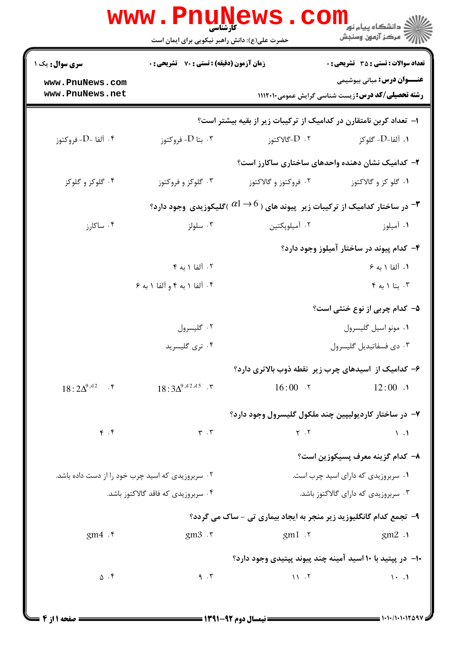|                                    | <b>کارشناسی</b><br>حضرت علی(ع): دانش راهبر نیکویی برای ایمان است                                                | <b>WWW.PNUNEWS.CO</b> | د دانشگاه پيام نو <mark>ر</mark><br>رآ مرکز آزمون وسنجش                                          |  |  |
|------------------------------------|-----------------------------------------------------------------------------------------------------------------|-----------------------|--------------------------------------------------------------------------------------------------|--|--|
| <b>سری سوال :</b> یک ۱             | <b>زمان آزمون (دقیقه) : تستی : 70 ٪ تشریحی : 0</b>                                                              |                       | <b>تعداد سوالات : تستی : 35 - تشریحی : 0</b>                                                     |  |  |
| www.PnuNews.com<br>www.PnuNews.net |                                                                                                                 |                       | <b>عنـــوان درس:</b> مبانی بیوشیمی<br><b>رشته تحصیلی/کد درس: : ریست شناسی گرایش عمومی1۱۱۲۰۱۰</b> |  |  |
|                                    |                                                                                                                 |                       | ا–  تعداد کربن نامتقارن در کدامیک از ترکیبات زیر از بقیه بیشتر است؟                              |  |  |
| أ -D - ألفا -D. فروكتوز $\cdot$    | بتا D- فروكتوز $\cdot$ "                                                                                        | ۰۲ D-گالاکتوز         | ۱. آلفا-D- گلوکز                                                                                 |  |  |
|                                    |                                                                                                                 |                       | ۲- کدامیک نشان دهنده واحدهای ساختاری ساکارز است؟                                                 |  |  |
| ۰۴ گلوکز و گلوکز                   | ۰۳ گلوکز و فروکتوز                                                                                              | ۰۲ فروکتوز و گالاکتوز | ۰۱ گلو کز و گالاکتوز                                                                             |  |  |
|                                    | در ساختار کدامیک از ترکیبات زیر پیوند های ( $\beta\rightarrow\alpha$ )گلیکوزیدی وجود دارد؟ $\blacktriangledown$ |                       |                                                                                                  |  |  |
| ۰۴ ساكارز                          | ۰۳ سلولز                                                                                                        | ۰۲ آمیلوپکتین         | ۰۱ آمیلوز                                                                                        |  |  |
|                                    |                                                                                                                 |                       | ۴- کدام پیوند در ساختار آمیلوز وجود دارد؟                                                        |  |  |
|                                    | ۰۲ آلفا ۱ به ۴                                                                                                  |                       | ١. ألفا ١ به ۶                                                                                   |  |  |
|                                    | ۰۴ آلفا ۱ به ۴ و آلفا ۱ به ۶                                                                                    |                       | $\uparrow$ بتا ۱ به ۴ $\cdot$                                                                    |  |  |
|                                    |                                                                                                                 |                       | ۵- کدام چربی از نوع خنثی است؟                                                                    |  |  |
|                                    | ۰۲ گلیسرول                                                                                                      |                       | ٠١ مونو اسيل گليسرول                                                                             |  |  |
|                                    | ۰۴ تری گلیسرید                                                                                                  |                       | ۰۳ دی فسفاتیدیل گلیسرول                                                                          |  |  |
|                                    |                                                                                                                 |                       | ۶- کدامیک از اسیدهای چرب زیر نقطه ذوب بالاتری دارد؟                                              |  |  |
| $18:2\Delta^{9,12}$ . F            | $18:3\Delta^{9J12J15}$ .                                                                                        |                       | $16:00 \tcdot 7$ $12:00 \tcdot 1$                                                                |  |  |
|                                    |                                                                                                                 |                       | ۷- در ساختار کاردیولیپین چند ملکول گلیسرول وجود دارد؟                                            |  |  |
| $\mathfrak{r}$ . $\mathfrak{r}$    | $\mathbf{r} \cdot \mathbf{r}$                                                                                   | $Y \cdot Y$           | $\mathcal{N}$ .                                                                                  |  |  |
|                                    |                                                                                                                 |                       | ٨– كدام گزينه معرف يسيكوزين است؟                                                                 |  |  |
|                                    | ۰۲ سربروزیدی که اسید چرب خود را از دست داده باشد.                                                               |                       | ٠١ سربروزيدي كه داراي اسيد چرب است.                                                              |  |  |
|                                    | ۰۴ سربروزیدی که فاقد گالاکتوز باشد.                                                                             |                       | ۰۳ سربروزیدی که دارای گالاکتوز باشد.                                                             |  |  |
|                                    |                                                                                                                 |                       | ۹- تجمع کدام گانگلیوزید زیر منجر به ایجاد بیماری تی - ساک می گردد؟                               |  |  |
| gm4.                               | $\text{gm3} \cdot \text{r}$                                                                                     | gm1.7                 | gm2.1                                                                                            |  |  |
|                                    |                                                                                                                 |                       | ۱۰– در پیتید با ۱۰ اسید آمینه چند پیوند پیتیدی وجود دارد؟                                        |  |  |
| $\Delta$ .۴                        | 9.7                                                                                                             | 11.7                  | $1 - 1$                                                                                          |  |  |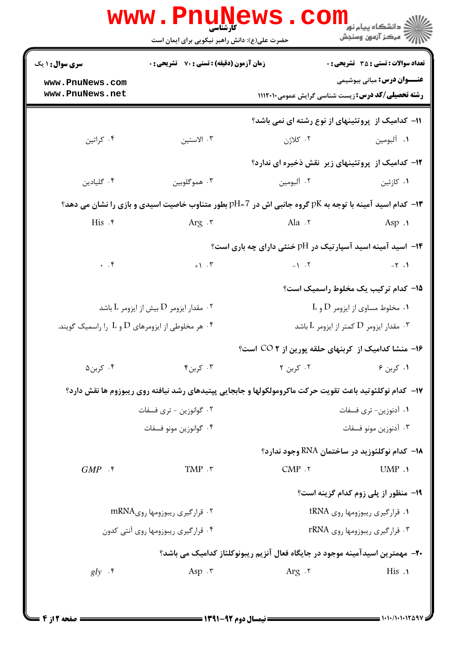| <b>سری سوال :</b> ۱ یک                                                               | <b>زمان آزمون (دقیقه) : تستی : 70 ٪ تشریحی : 0</b>        |                                                                                                         | <b>تعداد سوالات : تستي : 35 - تشريحي : 0</b> |  |
|--------------------------------------------------------------------------------------|-----------------------------------------------------------|---------------------------------------------------------------------------------------------------------|----------------------------------------------|--|
| www.PnuNews.com<br>www.PnuNews.net                                                   |                                                           | <b>رشته تحصیلی/کد درس:</b> زیست شناسی گرایش عمومی1۱۱۲۰۱۰                                                | <b>عنـــوان درس:</b> مبانی بیوشیمی           |  |
|                                                                                      |                                                           | 11- کدامیک از پروتئینهای از نوع رشته ای نمی باشد؟                                                       |                                              |  |
| ۰۴ کراتين                                                                            | ۰۳ الاستين                                                | ۰۲ کلاژن                                                                                                | ۰۱ آلبومين                                   |  |
|                                                                                      |                                                           | <b>۱۲</b> - کدامیک از پروتئینهای زیر نقش ذخیره ای ندارد؟                                                |                                              |  |
| ۰۴ گلیادین                                                                           | ۰۳ هموگلوبين                                              | ۰۲ آلبومین                                                                                              | ۰۱ کازئین                                    |  |
|                                                                                      |                                                           | ا- کدام اسید آمینه با توجه به pK گروه جانبی اش در pH=7 بطور متناوب خاصیت اسیدی و بازی را نشان می دهد؟ * |                                              |  |
| $His .$ ۴                                                                            | Arg ۲                                                     | $A1a$ $\cdot$ $\cdot$                                                                                   | Asp $\Lambda$                                |  |
|                                                                                      |                                                           | ۰۱۴ اسید آمینه اسید آسپارتیک در pH خنثی دارای چه باری است؟                                              |                                              |  |
| $\cdot$ $\cdot$ $\cdot$                                                              | $+ \rightarrow \cdot \cdot \cdot$                         | $-1$ $\cdot$ $\cdot$ $\cdot$                                                                            | $-\tau$ .                                    |  |
|                                                                                      |                                                           |                                                                                                         | ۱۵– کدام ترکیب یک مخلوط راسمیک است؟          |  |
|                                                                                      | مقدار ایزومر $\rm D$ بیش از ایزومر $\rm L$ باشد $\cdot$ ۲ | $\,$ ۰۱ مخلوط مساوی از ایزومر $\,$ D و $\,$ ۰۱ $\,$                                                     |                                              |  |
| ۰۴ هر مخلوطی از ایزومرهای $\mathrm{D}$ و $\mathrm{L}$ را راسمیک گویند. $^\mathrm{e}$ |                                                           | د مقدار ایزومر $\mathrm{D}$ کمتر از ایزومر $\mathrm{L}$ باشد $\cdot$ ۳                                  |                                              |  |
|                                                                                      |                                                           | ۱۶- منشا کدامیک از کربنهای حلقه پورین از CO ۲ است؟                                                      |                                              |  |
| ۰۴ کربن۵                                                                             | $\mathcal{F}$ کرین ۴۰۰ $\mathcal{F}$                      | ۰۲ کربن ۲                                                                                               | 9, 2, 3                                      |  |
|                                                                                      |                                                           | ۱۷- کدام نوکلئوتید باعث تقویت حرکت ماکرومولکولها و جابجایی پپتیدهای رشد نیافته روی ریبوزوم ها نقش دارد؟ |                                              |  |
| ۰۲ گوانوزین - تری فسفات                                                              |                                                           | ۰۱ آدنوزین- تری فسفات                                                                                   |                                              |  |
|                                                                                      | ۰۴ گوانوزين مونو فسفات                                    |                                                                                                         | ۰۳ آدنوزین مونو فسفات                        |  |
|                                                                                      |                                                           | 18- كدام نوكلئوزيد در ساختمان RNA وجود ندارد؟                                                           |                                              |  |
| $GMP$ .                                                                              | TMP .٣                                                    | CMP.7                                                                                                   | UMP.1                                        |  |
|                                                                                      |                                                           |                                                                                                         | <b>۱۹- منظور از یلی زوم کدام گزینه است</b> ؟ |  |
| ۰۲ قرار گیری ریبوزومها رویmRNA                                                       |                                                           | ۰۱ قرار گیری ریبوزومها روی tRNA                                                                         |                                              |  |
| ۰۴ قرارگیری ریبوزومها روی آنتی کدون                                                  |                                                           | $rRNA$ قرار گیری ریبوزومها روی $\cdot$ "                                                                |                                              |  |
|                                                                                      |                                                           | ۲۰– مهمترین اسیدآمینه موجود در جایگاه فعال آنزیم ریبونوکلئاز کدامیک می باشد؟                            |                                              |  |
| $gly$ $\cdot$ $\cdot$                                                                | Asp $\cdot$ $\cdot$                                       | $Arg \cdot 7$                                                                                           | His .1                                       |  |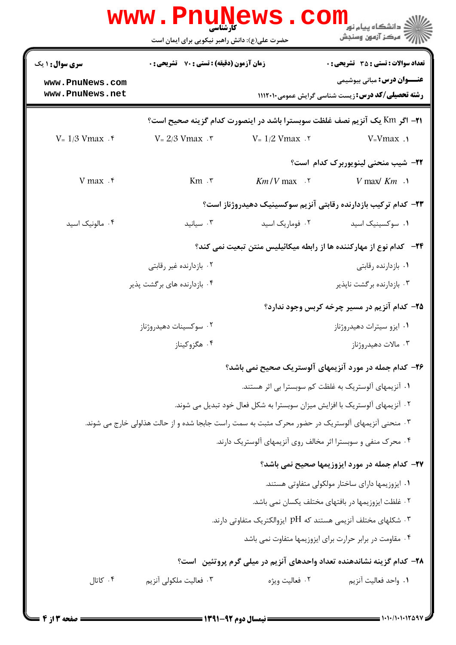|                                    | <b>WWW . PNUN</b><br>کارشناسی<br>حضرت علی(ع): دانش راهبر نیکویی برای ایمان است                    | WS .<br><b>. COIII</b>                                                       | ے دانشگاہ پیام نور<br>ر آمرڪز آزمون وسنڊش                                                      |  |  |
|------------------------------------|---------------------------------------------------------------------------------------------------|------------------------------------------------------------------------------|------------------------------------------------------------------------------------------------|--|--|
| <b>سری سوال :</b> ۱ یک             | <b>زمان آزمون (دقیقه) : تستی : 70 ٪ تشریحی : 0</b>                                                |                                                                              | <b>تعداد سوالات : تستي : 35 - تشريحي : 0</b>                                                   |  |  |
| www.PnuNews.com<br>www.PnuNews.net |                                                                                                   |                                                                              | <b>عنـــوان درس:</b> مبانی بیوشیمی<br><b>رشته تحصیلی/کد درس:</b> زیست شناسی گرایش عمومی1۱۱۲۰۱۰ |  |  |
|                                    |                                                                                                   |                                                                              | 21− اگر Km یک آنزیم نصف غلظت سوبسترا باشد در اینصورت کدام گزینه صحیح است؟                      |  |  |
| $V = 1/3$ Vmax $\cdot$ $\cdot$     | $V = 2/3$ Vmax $\cdot$ $\cdot$                                                                    | $V = 1/2$ Vmax .                                                             | $V = Vmax$ .                                                                                   |  |  |
|                                    |                                                                                                   |                                                                              | <b>۲۲</b> - شیب منحنی لینویوربرک کدام است؟                                                     |  |  |
| V max $.5$                         | $Km$ . $\mathbf{r}$                                                                               | $Km/V$ max $\cdot$ $\cdot$                                                   | $V$ max/ $Km \sim$                                                                             |  |  |
|                                    |                                                                                                   |                                                                              | ۲۳– کدام ترکیب بازدارنده رقابتی آنزیم سوکسینیک دهیدروژناز است؟                                 |  |  |
| ۰۴ مالونیک اسید                    | $\cdot$ ۳ سیانید                                                                                  | ۰۲ فوماریک اسید                                                              | ۰۱ سوکسینیک اسید                                                                               |  |  |
|                                    | ۲۴−   کدام نوع از مهارکننده ها از رابطه میکائیلیس منتن تبعیت نمی کند؟                             |                                                                              |                                                                                                |  |  |
|                                    | ۰۲ بازدارنده غیر رقابتی                                                                           |                                                                              | ۰۱ بازدارنده رقابتی                                                                            |  |  |
|                                    | ۰۴ بازدارنده های بر گشت پذیر                                                                      |                                                                              | ۰۳ بازدارنده برگشت ناپذیر                                                                      |  |  |
|                                    |                                                                                                   |                                                                              | ۲۵- کدام آنزیم در مسیر چرخه کربس وجود ندارد؟                                                   |  |  |
|                                    | ۰۲ سوکسینات دهیدروژناز                                                                            |                                                                              | ۰۱ ایزو سیترات دهیدروژناز                                                                      |  |  |
|                                    | ۰۴ هگزوکیناز                                                                                      |                                                                              | ۰۳ مالات دهیدروژناز                                                                            |  |  |
|                                    |                                                                                                   |                                                                              | ۲۶- کدام جمله در مورد آنزیمهای آلوستریک صحیح نمی باشد؟                                         |  |  |
|                                    |                                                                                                   |                                                                              | ۰۱ آنزیمهای آلوستریک به غلظت کم سوبسترا بی اثر هستند.                                          |  |  |
|                                    |                                                                                                   | ۲ . آنزیمهای آلوستریک با افزایش میزان سوبسترا به شکل فعال خود تبدیل می شوند. |                                                                                                |  |  |
|                                    | ۳. منحنی آنزیمهای آلوستریک در حضور محرک مثبت به سمت راست جابجا شده و از حالت هذلولی خارج می شوند. |                                                                              |                                                                                                |  |  |
|                                    |                                                                                                   | ۰۴ محرک منفی و سوبسترا اثر مخالف روی آنزیمهای آلوستریک دارند.                |                                                                                                |  |  |
|                                    |                                                                                                   |                                                                              | ۲۷- کدام جمله در مورد ایزوزیمها صحیح نمی باشد؟                                                 |  |  |
|                                    |                                                                                                   |                                                                              | ٠١ ايزوزيمها داراي ساختار مولكولي متفاوتي هستند.                                               |  |  |
|                                    |                                                                                                   |                                                                              | ۰۲ غلظت ایزوزیمها در بافتهای مختلف یکسان نمی باشد.                                             |  |  |
|                                    |                                                                                                   | ۰۳ شکلهای مختلف آنزیمی هستند که pH ایزوالکتریک متفاوتی دارند.                |                                                                                                |  |  |
|                                    |                                                                                                   |                                                                              | ۰۴ مقاومت در برابر حرارت برای ایزوزیمها متفاوت نمی باشد                                        |  |  |
|                                    |                                                                                                   |                                                                              | ۲۸- کدام گزینه نشاندهنده تعداد واحدهای آنزیم در میلی گرم پروتئین است؟                          |  |  |
| ۰۴ کاتال                           | ۰۳ فعالیت ملکولی آنزیم                                                                            | ۰۲ فعالیت ویژه                                                               | ٠١. واحد فعاليت آنزيم                                                                          |  |  |
|                                    |                                                                                                   |                                                                              |                                                                                                |  |  |